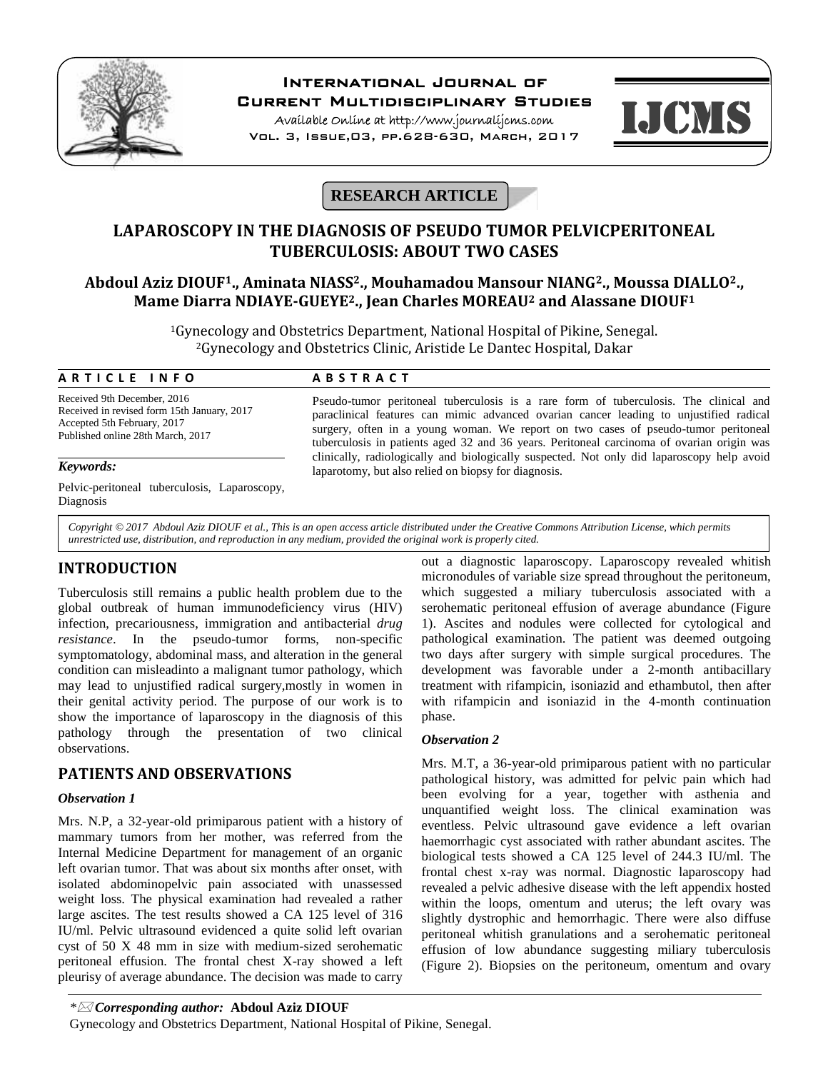

# **International Journal of**

**Current Multidisciplinary Studies**

**Available Online at http://www.journalijcms.com** Vol. 3, Issue,03, pp.628-630, March, 2017



# **RESEARCH ARTICLE**

# **LAPAROSCOPY IN THE DIAGNOSIS OF PSEUDO TUMOR PELVICPERITONEAL TUBERCULOSIS: ABOUT TWO CASES**

## **Abdoul Aziz DIOUF1., Aminata NIASS2., Mouhamadou Mansour NIANG2., Moussa DIALLO2., Mame Diarra NDIAYE-GUEYE2., Jean Charles MOREAU<sup>2</sup> and Alassane DIOUF<sup>1</sup>**

<sup>1</sup>Gynecology and Obstetrics Department, National Hospital of Pikine, Senegal. <sup>2</sup>Gynecology and Obstetrics Clinic, Aristide Le Dantec Hospital, Dakar **Mame Diarra NDIAYE-GUEYE<sup>2</sup>., Jean Charles MOREA**<br><sup>1</sup>Gynecology and Obstetrics Department, National Hos<br><sup>2</sup>Gynecology and Obstetrics Clinic, Aristide Le Dan<br>**A R T I C L E I N F O A B S T R A C T**<br>Received 9th Decembe

Received 9th December, 2016 Received in revised form 15th January, 2017 Accepted 5th February, 2017 Published online 28th March, 2017

Pelvic-peritoneal tuberculosis, Laparoscopy, Diagnosis

Pseudo-tumor peritoneal tuberculosis is a rare form of tuberculosis. The clinical and paraclinical features can mimic advanced ovarian cancer leading to unjustified radical surgery, often in a young woman. We report on two cases of pseudo-tumor peritoneal tuberculosis in patients aged 32 and 36 years. Peritoneal carcinoma of ovarian origin was **Keywords:** clinically, radiologically and biologically suspected. Not only did laparoscopy help avoid laparotomy, but also relied on biopsy for diagnosis.

*Copyright © 2017 Abdoul Aziz DIOUF et al., This is an open access article distributed under the Creative Commons Attribution License, which permits unrestricted use, distribution, and reproduction in any medium, provided the original work is properly cited.*

### **INTRODUCTION**

Tuberculosis still remains a public health problem due to the global outbreak of human immunodeficiency virus (HIV) infection, precariousness, immigration and antibacterial *drug resistance*. In the pseudo-tumor forms, non-specific symptomatology, abdominal mass, and alteration in the general condition can misleadinto a malignant tumor pathology, which may lead to unjustified radical surgery,mostly in women in their genital activity period. The purpose of our work is to show the importance of laparoscopy in the diagnosis of this pathology through the presentation of two clinical observations.

## **PATIENTS AND OBSERVATIONS**

### *Observation 1*

Mrs. N.P, a 32-year-old primiparous patient with a history of mammary tumors from her mother, was referred from the Internal Medicine Department for management of an organic left ovarian tumor. That was about six months after onset, with isolated abdominopelvic pain associated with unassessed weight loss. The physical examination had revealed a rather large ascites. The test results showed a CA 125 level of 316 IU/ml. Pelvic ultrasound evidenced a quite solid left ovarian cyst of 50 X 48 mm in size with medium-sized serohematic peritoneal effusion. The frontal chest X-ray showed a left pleurisy of average abundance. The decision was made to carry

out a diagnostic laparoscopy. Laparoscopy revealed whitish micronodules of variable size spread throughout the peritoneum, which suggested a miliary tuberculosis associated with a serohematic peritoneal effusion of average abundance (Figure 1). Ascites and nodules were collected for cytological and pathological examination. The patient was deemed outgoing two days after surgery with simple surgical procedures. The development was favorable under a 2-month antibacillary treatment with rifampicin, isoniazid and ethambutol, then after with rifampicin and isoniazid in the 4-month continuation phase.

### *Observation 2*

Mrs. M.T, a 36-year-old primiparous patient with no particular pathological history, was admitted for pelvic pain which had been evolving for a year, together with asthenia and unquantified weight loss. The clinical examination was eventless. Pelvic ultrasound gave evidence a left ovarian haemorrhagic cyst associated with rather abundant ascites. The biological tests showed a CA 125 level of 244.3 IU/ml. The frontal chest x-ray was normal. Diagnostic laparoscopy had revealed a pelvic adhesive disease with the left appendix hosted within the loops, omentum and uterus; the left ovary was slightly dystrophic and hemorrhagic. There were also diffuse peritoneal whitish granulations and a serohematic peritoneal effusion of low abundance suggesting miliary tuberculosis (Figure 2). Biopsies on the peritoneum, omentum and ovary

Gynecology and Obstetrics Department, National Hospital of Pikine, Senegal.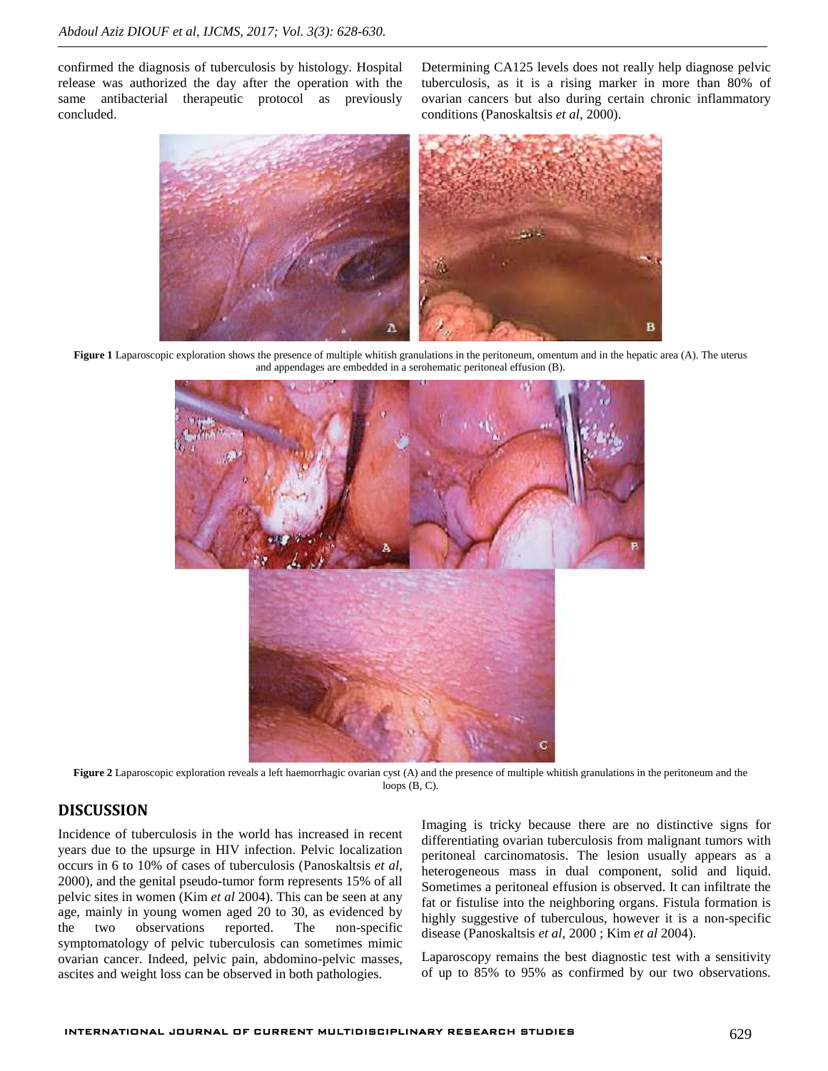confirmed the diagnosis of tuberculosis by histology. Hospital release was authorized the day after the operation with the same antibacterial therapeutic protocol as previously concluded.

Determining CA125 levels does not really help diagnose pelvic tuberculosis, as it is a rising marker in more than 80% of ovarian cancers but also during certain chronic inflammatory conditions (Panoskaltsis *et al*, 2000).



**Figure 1** Laparoscopic exploration shows the presence of multiple whitish granulations in the peritoneum, omentum and in the hepatic area (A). The uterus and appendages are embedded in a serohematic peritoneal effusion (B).



**Figure 2** Laparoscopic exploration reveals a left haemorrhagic ovarian cyst (A) and the presence of multiple whitish granulations in the peritoneum and the loops (B, C).

### **DISCUSSION**

Incidence of tuberculosis in the world has increased in recent years due to the upsurge in HIV infection. Pelvic localization occurs in 6 to 10% of cases of tuberculosis (Panoskaltsis *et al*, 2000), and the genital pseudo-tumor form represents 15% of all pelvic sites in women (Kim *et al* 2004). This can be seen at any age, mainly in young women aged 20 to 30, as evidenced by the two observations reported. The non-specific symptomatology of pelvic tuberculosis can sometimes mimic ovarian cancer. Indeed, pelvic pain, abdomino-pelvic masses, ascites and weight loss can be observed in both pathologies.

Imaging is tricky because there are no distinctive signs for differentiating ovarian tuberculosis from malignant tumors with peritoneal carcinomatosis. The lesion usually appears as a heterogeneous mass in dual component, solid and liquid. Sometimes a peritoneal effusion is observed. It can infiltrate the fat or fistulise into the neighboring organs. Fistula formation is highly suggestive of tuberculous, however it is a non-specific disease (Panoskaltsis *et al*, 2000 ; Kim *et al* 2004).

Laparoscopy remains the best diagnostic test with a sensitivity of up to 85% to 95% as confirmed by our two observations.